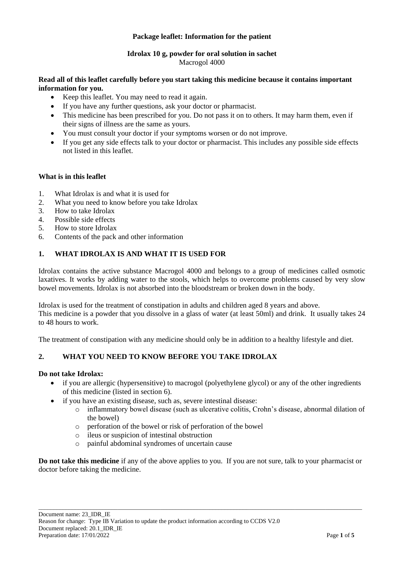## **Package leaflet: Information for the patient**

# **Idrolax 10 g, powder for oral solution in sachet** Macrogol 4000

# **Read all of this leaflet carefully before you start taking this medicine because it contains important information for you.**

- Keep this leaflet. You may need to read it again.
- If you have any further questions, ask your doctor or pharmacist.
- This medicine has been prescribed for you. Do not pass it on to others. It may harm them, even if their signs of illness are the same as yours.
- You must consult your doctor if your symptoms worsen or do not improve.
- If you get any side effects talk to your doctor or pharmacist. This includes any possible side effects not listed in this leaflet.

## **What is in this leaflet**

- 1. What Idrolax is and what it is used for
- 2. What you need to know before you take Idrolax
- 3. How to take Idrolax
- 4. Possible side effects
- 5. How to store Idrolax
- 6. Contents of the pack and other information

# **1. WHAT IDROLAX IS AND WHAT IT IS USED FOR**

Idrolax contains the active substance Macrogol 4000 and belongs to a group of medicines called osmotic laxatives. It works by adding water to the stools, which helps to overcome problems caused by very slow bowel movements. Idrolax is not absorbed into the bloodstream or broken down in the body.

Idrolax is used for the treatment of constipation in adults and children aged 8 years and above. This medicine is a powder that you dissolve in a glass of water (at least 50ml) and drink. It usually takes 24 to 48 hours to work.

The treatment of constipation with any medicine should only be in addition to a healthy lifestyle and diet.

# **2. WHAT YOU NEED TO KNOW BEFORE YOU TAKE IDROLAX**

### **Do not take Idrolax:**

- if you are allergic (hypersensitive) to macrogol (polyethylene glycol) or any of the other ingredients of this medicine (listed in section 6).
- if you have an existing disease, such as, severe intestinal disease:
	- o inflammatory bowel disease (such as ulcerative colitis, Crohn's disease, abnormal dilation of the bowel)
	- o perforation of the bowel or risk of perforation of the bowel
	- o ileus or suspicion of intestinal obstruction
	- o painful abdominal syndromes of uncertain cause

**Do not take this medicine** if any of the above applies to you. If you are not sure, talk to your pharmacist or doctor before taking the medicine.

\_\_\_\_\_\_\_\_\_\_\_\_\_\_\_\_\_\_\_\_\_\_\_\_\_\_\_\_\_\_\_\_\_\_\_\_\_\_\_\_\_\_\_\_\_\_\_\_\_\_\_\_\_\_\_\_\_\_\_\_\_\_\_\_\_\_\_\_\_\_\_\_\_\_\_\_\_\_\_\_\_\_\_\_\_\_\_\_\_\_\_\_\_\_\_\_\_\_\_\_\_\_\_\_\_\_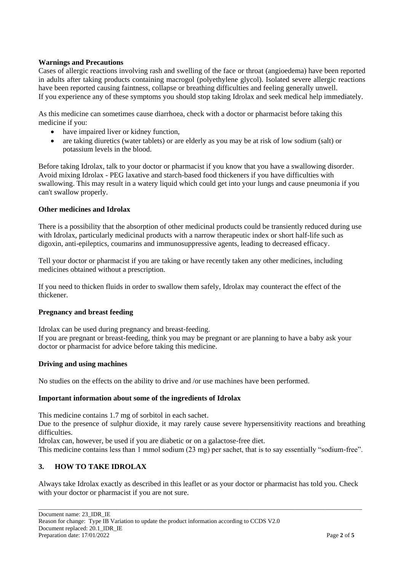## **Warnings and Precautions**

Cases of allergic reactions involving rash and swelling of the face or throat (angioedema) have been reported in adults after taking products containing macrogol (polyethylene glycol). Isolated severe allergic reactions have been reported causing faintness, collapse or breathing difficulties and feeling generally unwell. If you experience any of these symptoms you should stop taking Idrolax and seek medical help immediately.

As this medicine can sometimes cause diarrhoea, check with a doctor or pharmacist before taking this medicine if you:

- have impaired liver or kidney function,
- are taking diuretics (water tablets) or are elderly as you may be at risk of low sodium (salt) or potassium levels in the blood.

Before taking Idrolax, talk to your doctor or pharmacist if you know that you have a swallowing disorder. Avoid mixing Idrolax - PEG laxative and starch-based food thickeners if you have difficulties with swallowing. This may result in a watery liquid which could get into your lungs and cause pneumonia if you can't swallow properly.

### **Other medicines and Idrolax**

There is a possibility that the absorption of other medicinal products could be transiently reduced during use with Idrolax, particularly medicinal products with a narrow therapeutic index or short half-life such as digoxin, anti-epileptics, coumarins and immunosuppressive agents, leading to decreased efficacy.

Tell your doctor or pharmacist if you are taking or have recently taken any other medicines, including medicines obtained without a prescription.

If you need to thicken fluids in order to swallow them safely, Idrolax may counteract the effect of the thickener.

### **Pregnancy and breast feeding**

Idrolax can be used during pregnancy and breast-feeding.

If you are pregnant or breast-feeding, think you may be pregnant or are planning to have a baby ask your doctor or pharmacist for advice before taking this medicine.

### **Driving and using machines**

No studies on the effects on the ability to drive and /or use machines have been performed.

### **Important information about some of the ingredients of Idrolax**

This medicine contains 1.7 mg of sorbitol in each sachet.

Due to the presence of sulphur dioxide, it may rarely cause severe hypersensitivity reactions and breathing difficulties.

Idrolax can, however, be used if you are diabetic or on a galactose-free diet.

This medicine contains less than 1 mmol sodium (23 mg) per sachet, that is to say essentially "sodium-free".

# **3. HOW TO TAKE IDROLAX**

Always take Idrolax exactly as described in this leaflet or as your doctor or pharmacist has told you. Check with your doctor or pharmacist if you are not sure.

\_\_\_\_\_\_\_\_\_\_\_\_\_\_\_\_\_\_\_\_\_\_\_\_\_\_\_\_\_\_\_\_\_\_\_\_\_\_\_\_\_\_\_\_\_\_\_\_\_\_\_\_\_\_\_\_\_\_\_\_\_\_\_\_\_\_\_\_\_\_\_\_\_\_\_\_\_\_\_\_\_\_\_\_\_\_\_\_\_\_\_\_\_\_\_\_\_\_\_\_\_\_\_\_\_\_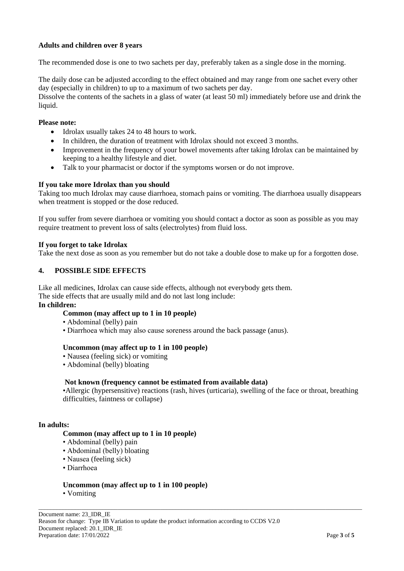# **Adults and children over 8 years**

The recommended dose is one to two sachets per day, preferably taken as a single dose in the morning.

The daily dose can be adjusted according to the effect obtained and may range from one sachet every other day (especially in children) to up to a maximum of two sachets per day.

Dissolve the contents of the sachets in a glass of water (at least 50 ml) immediately before use and drink the liquid.

### **Please note:**

- Idrolax usually takes 24 to 48 hours to work.
- In children, the duration of treatment with Idrolax should not exceed 3 months.
- Improvement in the frequency of your bowel movements after taking Idrolax can be maintained by keeping to a healthy lifestyle and diet.
- Talk to your pharmacist or doctor if the symptoms worsen or do not improve.

#### **If you take more Idrolax than you should**

Taking too much Idrolax may cause diarrhoea, stomach pains or vomiting. The diarrhoea usually disappears when treatment is stopped or the dose reduced.

If you suffer from severe diarrhoea or vomiting you should contact a doctor as soon as possible as you may require treatment to prevent loss of salts (electrolytes) from fluid loss.

#### **If you forget to take Idrolax**

Take the next dose as soon as you remember but do not take a double dose to make up for a forgotten dose.

### **4. POSSIBLE SIDE EFFECTS**

Like all medicines, Idrolax can cause side effects, although not everybody gets them.

The side effects that are usually mild and do not last long include:

### **In children:**

### **Common (may affect up to 1 in 10 people)**

- Abdominal (belly) pain
- Diarrhoea which may also cause soreness around the back passage (anus).

### **Uncommon (may affect up to 1 in 100 people)**

- Nausea (feeling sick) or vomiting
- Abdominal (belly) bloating

### **Not known (frequency cannot be estimated from available data)**

•Allergic (hypersensitive) reactions (rash, hives (urticaria), swelling of the face or throat, breathing difficulties, faintness or collapse)

\_\_\_\_\_\_\_\_\_\_\_\_\_\_\_\_\_\_\_\_\_\_\_\_\_\_\_\_\_\_\_\_\_\_\_\_\_\_\_\_\_\_\_\_\_\_\_\_\_\_\_\_\_\_\_\_\_\_\_\_\_\_\_\_\_\_\_\_\_\_\_\_\_\_\_\_\_\_\_\_\_\_\_\_\_\_\_\_\_\_\_\_\_\_\_\_\_\_\_\_\_\_\_\_\_\_

#### **In adults:**

#### **Common (may affect up to 1 in 10 people)**

- Abdominal (belly) pain
- Abdominal (belly) bloating
- Nausea (feeling sick)
- Diarrhoea

#### **Uncommon (may affect up to 1 in 100 people)**

• Vomiting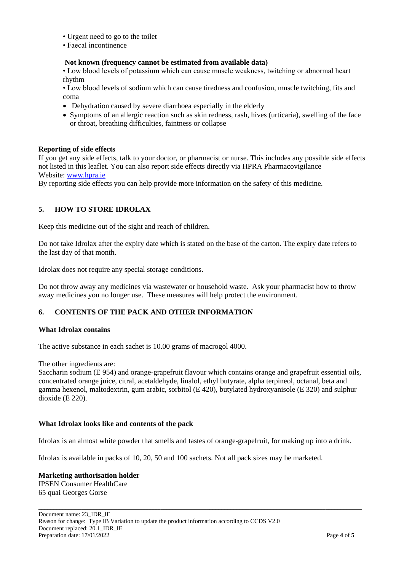- Urgent need to go to the toilet
- Faecal incontinence

## **Not known (frequency cannot be estimated from available data)**

• Low blood levels of potassium which can cause muscle weakness, twitching or abnormal heart rhythm

• Low blood levels of sodium which can cause tiredness and confusion, muscle twitching, fits and coma

- Dehydration caused by severe diarrhoea especially in the elderly
- Symptoms of an allergic reaction such as skin redness, rash, hives (urticaria), swelling of the face or throat, breathing difficulties, faintness or collapse

## **Reporting of side effects**

If you get any side effects, talk to your doctor, or pharmacist or nurse. This includes any possible side effects not listed in this leaflet. You can also report side effects directly via HPRA Pharmacovigilance Website: [www.hpra.ie](http://www.hpra.ie/)

By reporting side effects you can help provide more information on the safety of this medicine.

# **5. HOW TO STORE IDROLAX**

Keep this medicine out of the sight and reach of children.

Do not take Idrolax after the expiry date which is stated on the base of the carton. The expiry date refers to the last day of that month.

Idrolax does not require any special storage conditions.

Do not throw away any medicines via wastewater or household waste. Ask your pharmacist how to throw away medicines you no longer use. These measures will help protect the environment.

### **6. CONTENTS OF THE PACK AND OTHER INFORMATION**

### **What Idrolax contains**

The active substance in each sachet is 10.00 grams of macrogol 4000.

The other ingredients are:

Saccharin sodium (E 954) and orange-grapefruit flavour which contains orange and grapefruit essential oils, concentrated orange juice, citral, acetaldehyde, linalol, ethyl butyrate, alpha terpineol, octanal, beta and gamma hexenol, maltodextrin, gum arabic, sorbitol (E 420), butylated hydroxyanisole (E 320) and sulphur dioxide (E 220).

### **What Idrolax looks like and contents of the pack**

Idrolax is an almost white powder that smells and tastes of orange-grapefruit, for making up into a drink.

\_\_\_\_\_\_\_\_\_\_\_\_\_\_\_\_\_\_\_\_\_\_\_\_\_\_\_\_\_\_\_\_\_\_\_\_\_\_\_\_\_\_\_\_\_\_\_\_\_\_\_\_\_\_\_\_\_\_\_\_\_\_\_\_\_\_\_\_\_\_\_\_\_\_\_\_\_\_\_\_\_\_\_\_\_\_\_\_\_\_\_\_\_\_\_\_\_\_\_\_\_\_\_\_\_\_

Idrolax is available in packs of 10, 20, 50 and 100 sachets. Not all pack sizes may be marketed.

#### **Marketing authorisation holder** IPSEN Consumer HealthCare 65 quai Georges Gorse